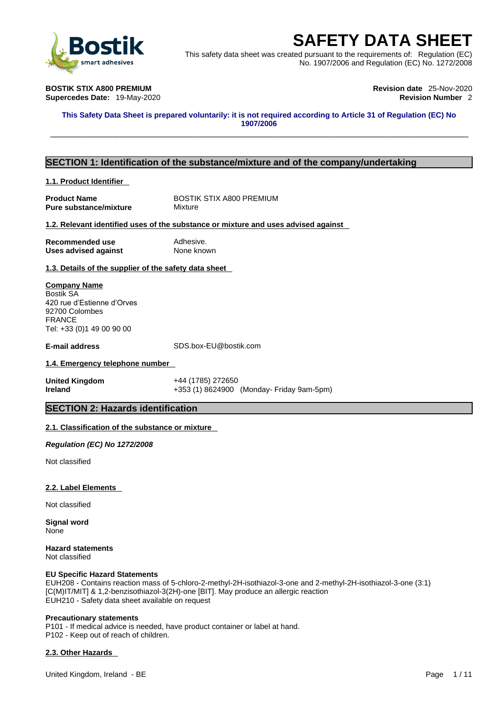

This safety data sheet was created pursuant to the requirements of: Regulation (EC) No. 1907/2006 and Regulation (EC) No. 1272/2008

**Supercedes Date: 19-May-2020** 

**BOSTIK STIX A800 PREMIUM Revision date** 25-Nov-2020

This Safety Data Sheet is prepared voluntarily: it is not required according to Article 31 of Regulation (EC) No **1907/2006 SAFETY DATA SHEET**<br>
Finis safety data sheet was created pursuant to the requirements of: Regulation (EC)<br>
No. 1907/2006 and Regulation (EC) No. 1272/2008<br>
OSTIK STIX A800 PREMIUM<br>
upercedes Date: 19-May-2020<br>
This Safety

### **SECTION 1: Identification of the substance/mixture and of the company/undertaking**

#### **1.1. Product Identifier**

**Product Name** BOSTIK STIX A800 PREMIUM<br> **Pure substance/mixture** Mixture **Pure substance/mixture** 

#### **1.2. Relevant identified uses of the substance or mixture and uses advised against**

**Recommended use** Adhesive. **Uses advised against** None known

**1.3. Details of the supplier of the safety data sheet**

### **Company Name** Bostik SA

420 rue d'Estienne d'Orves 92700 Colombes FRANCE Tel: +33 (0)1 49 00 90 00

**E-mail address** SDS.box-EU@bostik.com

#### **1.4. Emergency telephone number**

**United Kingdom** +44 (1785) 272650 **Ireland +353 (1) 8624900 (Monday- Friday 9am-5pm)** 

#### **SECTION 2: Hazards identification**

#### **2.1. Classification of the substance or mixture**

*Regulation (EC) No 1272/2008* 

Not classified

#### **2.2. Label Elements**

Not classified

**Signal word** None

**Hazard statements** Not classified

#### **EU Specific Hazard Statements**

EUH208 - Contains reaction mass of 5-chloro-2-methyl-2H-isothiazol-3-one and 2-methyl-2H-isothiazol-3-one (3:1) [C(M)IT/MIT] & 1,2-benzisothiazol-3(2H)-one [BIT]. May produce an allergic reaction EUH210 - Safety data sheet available on request

#### **Precautionary statements**

P101 - If medical advice is needed, have product container or label at hand. P102 - Keep out of reach of children.

#### **2.3. Other Hazards**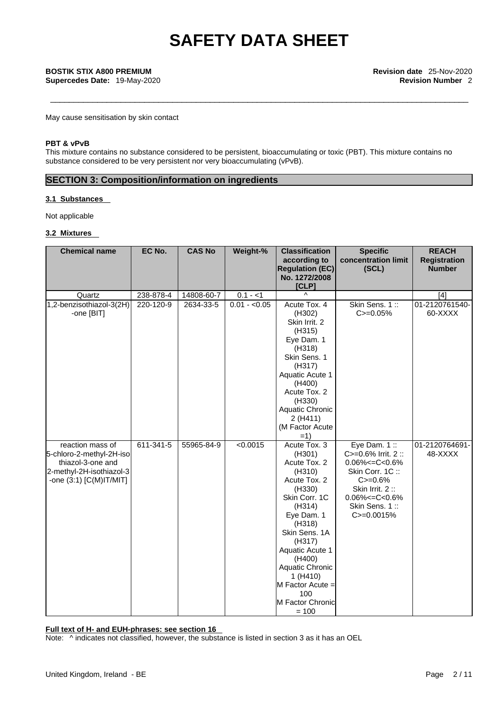**Supercedes Date:** 19-May-2020 **Revision Number** 2

May cause sensitisation by skin contact

## **PBT & vPvB**

This mixture contains no substance considered to be persistent, bioaccumulating or toxic (PBT). This mixture contains no substance considered to be very persistent nor very bioaccumulating (vPvB).

## **SECTION 3: Composition/information on ingredients**

#### **3.1 Substances**

Not applicable

#### **3.2 Mixtures**

| <b>Chemical name</b>     | EC No.    | <b>CAS No</b> | Weight-%      | <b>Classification</b><br>according to | <b>Specific</b><br>concentration limit | <b>REACH</b><br><b>Registration</b> |
|--------------------------|-----------|---------------|---------------|---------------------------------------|----------------------------------------|-------------------------------------|
|                          |           |               |               | <b>Regulation (EC)</b>                | (SCL)                                  | <b>Number</b>                       |
|                          |           |               |               | No. 1272/2008<br>[CLP]                |                                        |                                     |
| Quartz                   | 238-878-4 | 14808-60-7    | $0.1 - 1$     | $\lambda$                             |                                        | [4]                                 |
| 1,2-benzisothiazol-3(2H) | 220-120-9 | 2634-33-5     | $0.01 - 0.05$ | Acute Tox. 4                          | Skin Sens. 1::                         | 01-2120761540-                      |
| -one [BIT]               |           |               |               | (H302)                                | $C = 0.05%$                            | 60-XXXX                             |
|                          |           |               |               | Skin Irrit. 2                         |                                        |                                     |
|                          |           |               |               | (H315)                                |                                        |                                     |
|                          |           |               |               | Eye Dam. 1                            |                                        |                                     |
|                          |           |               |               | (H318)                                |                                        |                                     |
|                          |           |               |               | Skin Sens. 1                          |                                        |                                     |
|                          |           |               |               | (H317)                                |                                        |                                     |
|                          |           |               |               | Aquatic Acute 1                       |                                        |                                     |
|                          |           |               |               | (H400)<br>Acute Tox. 2                |                                        |                                     |
|                          |           |               |               |                                       |                                        |                                     |
|                          |           |               |               | (H330)<br>Aquatic Chronic             |                                        |                                     |
|                          |           |               |               | 2(H411)                               |                                        |                                     |
|                          |           |               |               | (M Factor Acute                       |                                        |                                     |
|                          |           |               |               | $=1)$                                 |                                        |                                     |
| reaction mass of         | 611-341-5 | 55965-84-9    | < 0.0015      | Acute Tox. 3                          | Eye Dam. 1:                            | 01-2120764691-                      |
| 5-chloro-2-methyl-2H-iso |           |               |               | (H301)                                | C>=0.6% Irrit. 2 ::                    | 48-XXXX                             |
| thiazol-3-one and        |           |               |               | Acute Tox. 2                          | $0.06\% < = C < 0.6\%$                 |                                     |
| 2-methyl-2H-isothiazol-3 |           |               |               | (H310)                                | Skin Corr. 1C:                         |                                     |
| -one (3:1) [C(M)IT/MIT]  |           |               |               | Acute Tox. 2                          | $C = 0.6%$                             |                                     |
|                          |           |               |               | (H330)                                | Skin Irrit. 2::                        |                                     |
|                          |           |               |               | Skin Corr. 1C                         | $0.06\% < = C < 0.6\%$                 |                                     |
|                          |           |               |               | (H314)                                | Skin Sens. 1::                         |                                     |
|                          |           |               |               | Eye Dam. 1<br>(H318)                  | $C = 0.0015%$                          |                                     |
|                          |           |               |               | Skin Sens. 1A                         |                                        |                                     |
|                          |           |               |               | (H317)                                |                                        |                                     |
|                          |           |               |               | Aquatic Acute 1                       |                                        |                                     |
|                          |           |               |               | (H400)                                |                                        |                                     |
|                          |           |               |               | Aquatic Chronic                       |                                        |                                     |
|                          |           |               |               | 1(H410)                               |                                        |                                     |
|                          |           |               |               | M Factor Acute =                      |                                        |                                     |
|                          |           |               |               | 100                                   |                                        |                                     |
|                          |           |               |               | M Factor Chronic                      |                                        |                                     |
|                          |           |               |               | $= 100$                               |                                        |                                     |

**Full text of H- and EUH-phrases: see section 16**

Note:  $\wedge$  indicates not classified, however, the substance is listed in section 3 as it has an OEL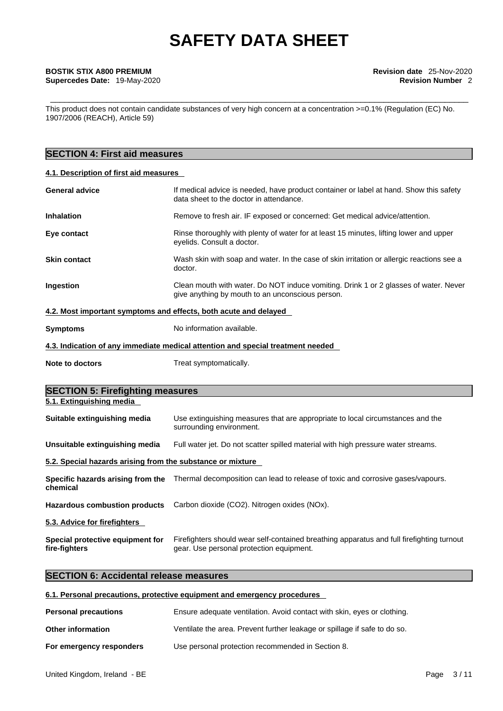This product does not contain candidate substances of very high concern at a concentration >=0.1% (Regulation (EC) No. 1907/2006 (REACH), Article 59)

## **SECTION 4: First aid measures**

### **4.1. Description of first aid measures**

| <b>General advice</b> | If medical advice is needed, have product container or label at hand. Show this safety<br>data sheet to the doctor in attendance.        |
|-----------------------|------------------------------------------------------------------------------------------------------------------------------------------|
| <b>Inhalation</b>     | Remove to fresh air. IF exposed or concerned: Get medical advice/attention.                                                              |
| Eye contact           | Rinse thoroughly with plenty of water for at least 15 minutes, lifting lower and upper<br>eyelids. Consult a doctor.                     |
| <b>Skin contact</b>   | Wash skin with soap and water. In the case of skin irritation or allergic reactions see a<br>doctor.                                     |
| <b>Ingestion</b>      | Clean mouth with water. Do NOT induce vomiting. Drink 1 or 2 glasses of water. Never<br>give anything by mouth to an unconscious person. |
|                       | 4.2. Most important symptoms and effects, both acute and delayed                                                                         |
| <b>Symptoms</b>       | No information available.                                                                                                                |

**4.3. Indication of any immediate medical attention and special treatment needed**

| <b>Note to doctors</b> | Treat symptomatically. |
|------------------------|------------------------|

| <b>SECTION 5: Firefighting measures</b>                    |                                                                                                                                       |  |  |  |
|------------------------------------------------------------|---------------------------------------------------------------------------------------------------------------------------------------|--|--|--|
| 5.1. Extinguishing media                                   |                                                                                                                                       |  |  |  |
| Suitable extinguishing media                               | Use extinguishing measures that are appropriate to local circumstances and the<br>surrounding environment.                            |  |  |  |
| Unsuitable extinguishing media                             | Full water jet. Do not scatter spilled material with high pressure water streams.                                                     |  |  |  |
| 5.2. Special hazards arising from the substance or mixture |                                                                                                                                       |  |  |  |
| chemical                                                   | Specific hazards arising from the Thermal decomposition can lead to release of toxic and corrosive gases/vapours.                     |  |  |  |
|                                                            | Hazardous combustion products Carbon dioxide (CO2). Nitrogen oxides (NOx).                                                            |  |  |  |
| 5.3. Advice for firefighters                               |                                                                                                                                       |  |  |  |
| Special protective equipment for<br>fire-fighters          | Firefighters should wear self-contained breathing apparatus and full firefighting turnout<br>gear. Use personal protection equipment. |  |  |  |

## **SECTION 6: Accidental release measures**

### **6.1. Personal precautions, protective equipment and emergency procedures**

| <b>Personal precautions</b> | Ensure adequate ventilation. Avoid contact with skin, eyes or clothing.   |
|-----------------------------|---------------------------------------------------------------------------|
| <b>Other information</b>    | Ventilate the area. Prevent further leakage or spillage if safe to do so. |
| For emergency responders    | Use personal protection recommended in Section 8.                         |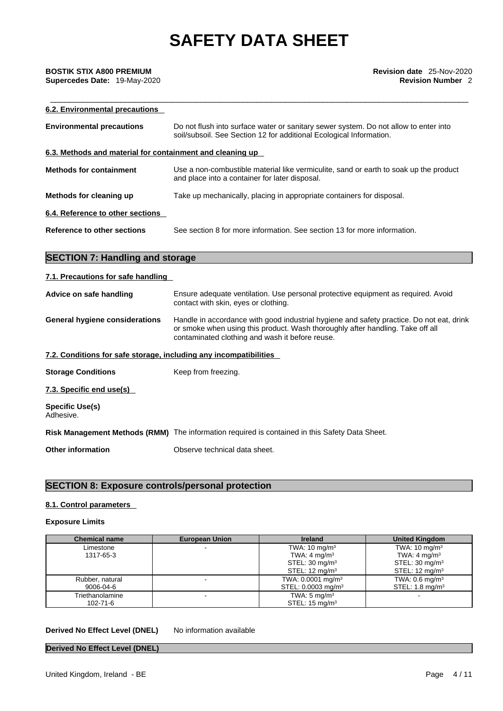| 6.2. Environmental precautions                            |                                                                                                                                                             |
|-----------------------------------------------------------|-------------------------------------------------------------------------------------------------------------------------------------------------------------|
| <b>Environmental precautions</b>                          | Do not flush into surface water or sanitary sewer system. Do not allow to enter into<br>soil/subsoil. See Section 12 for additional Ecological Information. |
| 6.3. Methods and material for containment and cleaning up |                                                                                                                                                             |
| <b>Methods for containment</b>                            | Use a non-combustible material like vermiculite, sand or earth to soak up the product<br>and place into a container for later disposal.                     |
| Methods for cleaning up                                   | Take up mechanically, placing in appropriate containers for disposal.                                                                                       |
| 6.4. Reference to other sections                          |                                                                                                                                                             |
| Reference to other sections                               | See section 8 for more information. See section 13 for more information.                                                                                    |
|                                                           |                                                                                                                                                             |

## **SECTION 7: Handling and storage**

### **7.1. Precautions for safe handling**

| Advice on safe handling                                           | Ensure adequate ventilation. Use personal protective equipment as required. Avoid<br>contact with skin, eyes or clothing.                                                                                                     |
|-------------------------------------------------------------------|-------------------------------------------------------------------------------------------------------------------------------------------------------------------------------------------------------------------------------|
| <b>General hygiene considerations</b>                             | Handle in accordance with good industrial hygiene and safety practice. Do not eat, drink<br>or smoke when using this product. Wash thoroughly after handling. Take off all<br>contaminated clothing and wash it before reuse. |
| 7.2. Conditions for safe storage, including any incompatibilities |                                                                                                                                                                                                                               |
| <b>Storage Conditions</b>                                         | Keep from freezing.                                                                                                                                                                                                           |
| 7.3. Specific end use(s)                                          |                                                                                                                                                                                                                               |
| Specific Use(s)<br>Adhesive.                                      |                                                                                                                                                                                                                               |

**Risk Management Methods (RMM)** The information required is contained in this Safety Data Sheet.

**Other information** Observe technical data sheet.

## **SECTION 8: Exposure controls/personal protection**

### **8.1. Control parameters**

### **Exposure Limits**

| <b>Chemical name</b> | <b>European Union</b> | <b>Ireland</b>                 | <b>United Kingdom</b>        |
|----------------------|-----------------------|--------------------------------|------------------------------|
| Limestone            |                       | TWA: $10 \text{ mg/m}^3$       | TWA: $10 \text{ mg/m}^3$     |
| 1317-65-3            |                       | TWA: $4 \text{ mg/m}^3$        | TWA: 4 mg/m <sup>3</sup>     |
|                      |                       | STEL: $30 \text{ mg/m}^3$      | STEL: $30 \text{ mg/m}^3$    |
|                      |                       | STEL: $12 \text{ mg/m}^3$      | STEL: $12 \text{ mg/m}^3$    |
| Rubber, natural      |                       | TWA: 0.0001 mg/m <sup>3</sup>  | TWA: $0.6$ mg/m <sup>3</sup> |
| 9006-04-6            |                       | STEL: 0.0003 mg/m <sup>3</sup> | STEL: $1.8 \text{ mg/m}^3$   |
| Triethanolamine      |                       | TWA: $5 \text{ mg/m}^3$        |                              |
| 102-71-6             |                       | STEL: $15 \text{ mg/m}^3$      |                              |

#### **Derived No Effect Level (DNEL)** No information available

#### **Derived No Effect Level (DNEL)**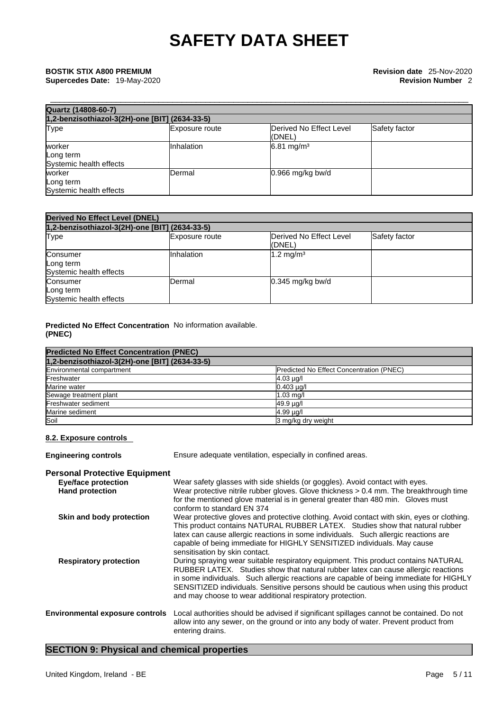| Quartz (14808-60-7)                            |                       |                                    |               |  |
|------------------------------------------------|-----------------------|------------------------------------|---------------|--|
| 1,2-benzisothiazol-3(2H)-one [BIT] (2634-33-5) |                       |                                    |               |  |
| Type                                           | <b>Exposure route</b> | Derived No Effect Level<br>l(DNEL) | Safety factor |  |
| worker<br>Long term<br>Systemic health effects | <b>Inhalation</b>     | $6.81 \text{ mg/m}^3$              |               |  |
| worker<br>Long term<br>Systemic health effects | Dermal                | $0.966$ mg/kg bw/d                 |               |  |

| <b>Derived No Effect Level (DNEL)</b>            |                       |                                   |               |  |
|--------------------------------------------------|-----------------------|-----------------------------------|---------------|--|
| 1,2-benzisothiazol-3(2H)-one [BIT] (2634-33-5)   |                       |                                   |               |  |
| Type                                             | <b>Exposure route</b> | Derived No Effect Level<br>(DNEL) | Safety factor |  |
| Consumer<br>Long term<br>Systemic health effects | IInhalation           | $1.2 \text{ mg/m}^3$              |               |  |
| Consumer<br>Long term<br>Systemic health effects | Dermal                | $0.345$ mg/kg bw/d                |               |  |

#### **Predicted No Effect Concentration** No information available. **(PNEC)**

| <b>Predicted No Effect Concentration (PNEC)</b> |                                          |  |
|-------------------------------------------------|------------------------------------------|--|
| 1,2-benzisothiazol-3(2H)-one [BIT] (2634-33-5)  |                                          |  |
| Environmental compartment                       | Predicted No Effect Concentration (PNEC) |  |
| Freshwater                                      | $4.03 \mu g/l$                           |  |
| Marine water                                    | $0.403 \mu g/l$                          |  |
| Sewage treatment plant                          | $1.03$ mg/                               |  |
| <b>Freshwater sediment</b>                      | 49.9 µg/l                                |  |
| Marine sediment                                 | $4.99 \mu q$                             |  |
| Soil                                            | 3 mg/kg dry weight                       |  |

#### **8.2. Exposure controls**

**Engineering controls** Ensure adequate ventilation, especially in confined areas. **Personal Protective Equipment** Wear safety glasses with side shields (or goggles). Avoid contact with eyes. **Hand protection** Wear protective nitrile rubber gloves. Glove thickness > 0.4 mm. The breakthrough time for the mentioned glove material is in general greater than 480 min. Gloves must conform to standard EN 374 **Skin and body protection** Wear protective gloves and protective clothing. Avoid contact with skin, eyes or clothing. This product contains NATURAL RUBBER LATEX. Studies show that natural rubber latex can cause allergic reactions in some individuals. Such allergic reactions are capable of being immediate for HIGHLY SENSITIZED individuals. May cause sensitisation by skin contact. **Respiratory protection** During spraying wear suitable respiratory equipment. This product contains NATURAL RUBBER LATEX. Studies show that natural rubber latex can cause allergic reactions

### SENSITIZED individuals. Sensitive persons should be cautious when using this product and may choose to wear additional respiratory protection. **Environmental exposure controls** Local authorities should be advised if significant spillages cannot be contained. Do not allow into any sewer, on the ground or into any body of water. Prevent product from entering drains.

in some individuals. Such allergic reactions are capable of being immediate for HIGHLY

### **SECTION 9: Physical and chemical properties**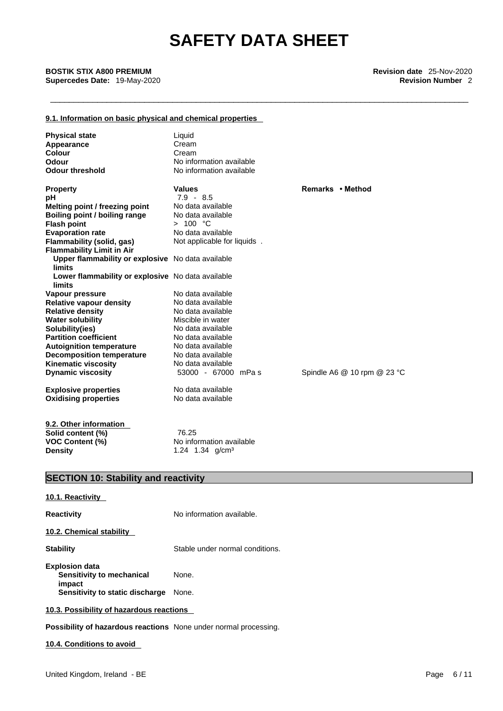#### **9.1. Information on basic physical and chemical properties**

| <b>Physical state</b>                                       | Liquid                      |                             |
|-------------------------------------------------------------|-----------------------------|-----------------------------|
| Appearance                                                  | Cream                       |                             |
| <b>Colour</b>                                               | Cream                       |                             |
| Odour                                                       | No information available    |                             |
| <b>Odour threshold</b>                                      | No information available    |                             |
| <b>Property</b>                                             | <b>Values</b>               | Remarks • Method            |
| рH                                                          | $7.9 - 8.5$                 |                             |
| Melting point / freezing point                              | No data available           |                             |
| Boiling point / boiling range                               | No data available           |                             |
| <b>Flash point</b>                                          | > 100 °C                    |                             |
| <b>Evaporation rate</b>                                     | No data available           |                             |
| Flammability (solid, gas)                                   | Not applicable for liquids. |                             |
| <b>Flammability Limit in Air</b>                            |                             |                             |
| Upper flammability or explosive No data available<br>limits |                             |                             |
| Lower flammability or explosive No data available<br>limits |                             |                             |
| Vapour pressure                                             | No data available           |                             |
| <b>Relative vapour density</b>                              | No data available           |                             |
| <b>Relative density</b>                                     | No data available           |                             |
| <b>Water solubility</b>                                     | Miscible in water           |                             |
| Solubility(ies)                                             | No data available           |                             |
| <b>Partition coefficient</b>                                | No data available           |                             |
| <b>Autoignition temperature</b>                             | No data available           |                             |
| <b>Decomposition temperature</b>                            | No data available           |                             |
| <b>Kinematic viscosity</b>                                  | No data available           |                             |
| <b>Dynamic viscosity</b>                                    | 53000 - 67000 mPas          | Spindle A6 @ 10 rpm @ 23 °C |
| <b>Explosive properties</b>                                 | No data available           |                             |
| <b>Oxidising properties</b>                                 | No data available           |                             |
| 9.2. Other information                                      |                             |                             |
| Solid content (%)                                           | 76.25                       |                             |
| VOC Content (%)                                             | No information available    |                             |
| <b>Density</b>                                              | 1.24 1.34 g/cm <sup>3</sup> |                             |
| <b>SECTION 10: Stability and reactivity</b>                 |                             |                             |
|                                                             |                             |                             |
| 10.1. Reactivity                                            |                             |                             |
| <b>Reactivity</b>                                           | No information available.   |                             |
| 10.2 Chamical stability                                     |                             |                             |

**10.2. Chemical stability** 

**Stability** Stable under normal conditions.

**Explosion data Sensitivity to mechanical impact**  None. **Sensitivity to static discharge** None.

**10.3. Possibility of hazardous reactions** 

**Possibility of hazardous reactions** None under normal processing.

#### **10.4. Conditions to avoid**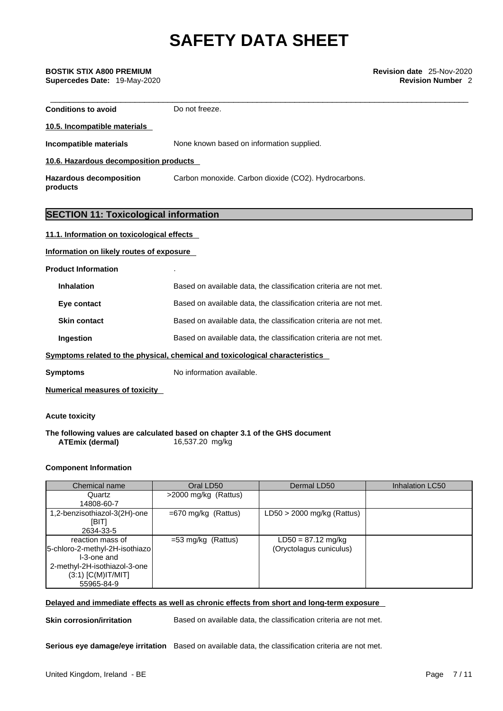| <b>Conditions to avoid</b>                   | Do not freeze.                                                               |  |
|----------------------------------------------|------------------------------------------------------------------------------|--|
| 10.5. Incompatible materials                 |                                                                              |  |
| <b>Incompatible materials</b>                | None known based on information supplied.                                    |  |
| 10.6. Hazardous decomposition products       |                                                                              |  |
| <b>Hazardous decomposition</b><br>products   | Carbon monoxide. Carbon dioxide (CO2). Hydrocarbons.                         |  |
|                                              |                                                                              |  |
| <b>SECTION 11: Toxicological information</b> |                                                                              |  |
| 11.1. Information on toxicological effects   |                                                                              |  |
| Information on likely routes of exposure     |                                                                              |  |
| <b>Product Information</b>                   |                                                                              |  |
| <b>Inhalation</b>                            | Based on available data, the classification criteria are not met.            |  |
| Eye contact                                  | Based on available data, the classification criteria are not met.            |  |
| <b>Skin contact</b>                          | Based on available data, the classification criteria are not met.            |  |
| Ingestion                                    | Based on available data, the classification criteria are not met.            |  |
|                                              | Symptoms related to the physical, chemical and toxicological characteristics |  |
| Symptoms                                     | No information available.                                                    |  |
| <b>Numerical measures of toxicity</b>        |                                                                              |  |
|                                              |                                                                              |  |

#### **Acute toxicity**

**The following values are calculated based on chapter 3.1 of the GHS document ATEmix** (dermal)

#### **Component Information**

| Chemical name                  | Oral LD50             | Dermal LD50                  | Inhalation LC50 |
|--------------------------------|-----------------------|------------------------------|-----------------|
| Quartz                         | >2000 mg/kg (Rattus)  |                              |                 |
| 14808-60-7                     |                       |                              |                 |
| 1,2-benzisothiazol-3(2H)-one   | $=670$ mg/kg (Rattus) | $LD50 > 2000$ mg/kg (Rattus) |                 |
| [BIT]                          |                       |                              |                 |
| 2634-33-5                      |                       |                              |                 |
| reaction mass of               | $=$ 53 mg/kg (Rattus) | $LD50 = 87.12$ mg/kg         |                 |
| 5-chloro-2-methyl-2H-isothiazo |                       | (Oryctolagus cuniculus)      |                 |
| I-3-one and                    |                       |                              |                 |
| 2-methyl-2H-isothiazol-3-one   |                       |                              |                 |
| $(3:1)$ [C(M)IT/MIT]           |                       |                              |                 |
| 55965-84-9                     |                       |                              |                 |

**Delayed and immediate effects as well as chronic effects from short and long-term exposure**

**Skin corrosion/irritation** Based on available data, the classification criteria are not met.

**Serious eye damage/eye irritation** Based on available data, the classification criteria are not met.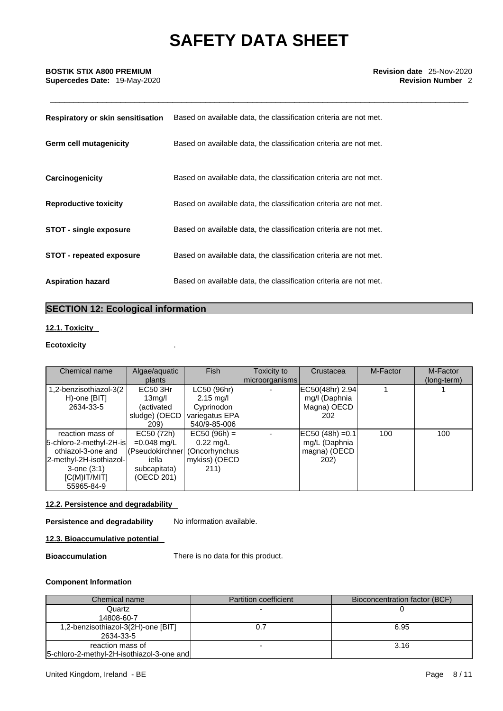**Supercedes Date:** 19-May-2020 **Revision Number** 2

| Respiratory or skin sensitisation | Based on available data, the classification criteria are not met. |
|-----------------------------------|-------------------------------------------------------------------|
| Germ cell mutagenicity            | Based on available data, the classification criteria are not met. |
| Carcinogenicity                   | Based on available data, the classification criteria are not met. |
| <b>Reproductive toxicity</b>      | Based on available data, the classification criteria are not met. |
| <b>STOT - single exposure</b>     | Based on available data, the classification criteria are not met. |
| <b>STOT - repeated exposure</b>   | Based on available data, the classification criteria are not met. |
| <b>Aspiration hazard</b>          | Based on available data, the classification criteria are not met. |

## **SECTION 12: Ecological information**

#### **12.1. Toxicity**

### **Ecotoxicity** .

| Chemical name                                                                                                                                     | Algae/aquatic<br>plants                                                                             | <b>Fish</b>                                                                        | Toxicity to<br>microorganisms | Crustacea                                                           | M-Factor | M-Factor<br>(long-term) |
|---------------------------------------------------------------------------------------------------------------------------------------------------|-----------------------------------------------------------------------------------------------------|------------------------------------------------------------------------------------|-------------------------------|---------------------------------------------------------------------|----------|-------------------------|
| 1,2-benzisothiazol-3(2)<br>H)-one [BIT]<br>2634-33-5                                                                                              | EC50 3Hr<br>13 <sub>mq</sub> /l<br>(activated<br>sludge) (OECD<br>209)                              | LC50 (96hr)<br>$2.15 \text{ mq/l}$<br>Cyprinodon<br>variegatus EPA<br>540/9-85-006 |                               | EC50(48hr) 2.94<br>mg/l (Daphnia<br>Magna) OECD<br>202              |          |                         |
| reaction mass of<br>5-chloro-2-methyl-2H-is<br>othiazol-3-one and<br>2-methyl-2H-isothiazol-<br>$3$ -one $(3:1)$<br>$[C(M)$ IT/MIT]<br>55965-84-9 | EC50 (72h)<br>$=0.048$ mg/L<br>(Pseudokirchner (Oncorhynchus<br>iella<br>subcapitata)<br>(OECD 201) | $EC50 (96h) =$<br>$0.22 \text{ mg/L}$<br>mykiss) (OECD<br>211)                     |                               | $EC50 (48h) = 0.1$<br>mg/L (Daphnia<br>magna) (OECD<br><b>202</b> ) | 100      | 100                     |

### **12.2. Persistence and degradability**

**Persistence and degradability** No information available.

#### **12.3. Bioaccumulative potential**

**Bioaccumulation** There is no data for this product.

#### **Component Information**

| Chemical name                                    | <b>Partition coefficient</b> | Bioconcentration factor (BCF) |
|--------------------------------------------------|------------------------------|-------------------------------|
| Quartz                                           |                              |                               |
| 14808-60-7<br>1,2-benzisothiazol-3(2H)-one [BIT] |                              | 6.95                          |
| 2634-33-5                                        |                              |                               |
| reaction mass of                                 |                              | 3.16                          |
| [5-chloro-2-methyl-2H-isothiazol-3-one and]      |                              |                               |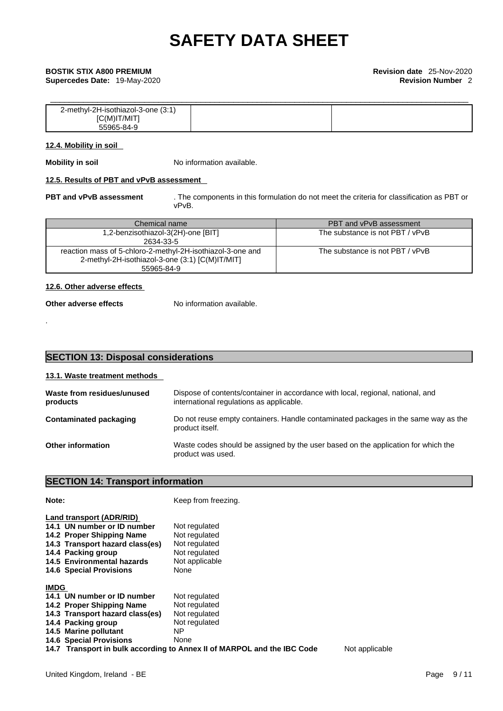**Supercedes Date:** 19-May-2020 **Revision Number** 2

| 2-methyl-2H-isothiazol-3-one (3:1) |  |
|------------------------------------|--|
| $[C(M)$ IT/MIT]                    |  |
| 55965-84-9                         |  |

#### **12.4. Mobility in soil**

**Mobility in soil** No information available.

#### **12.5. Results of PBT and vPvB assessment**

**PBT and vPvB assessment** . The components in this formulation do not meet the criteria for classification as PBT or vPvB.

| Chemical name                                              | PBT and vPvB assessment         |
|------------------------------------------------------------|---------------------------------|
| 1,2-benzisothiazol-3(2H)-one [BIT]                         | The substance is not PBT / vPvB |
| 2634-33-5                                                  |                                 |
| reaction mass of 5-chloro-2-methyl-2H-isothiazol-3-one and | The substance is not PBT / vPvB |
| 2-methyl-2H-isothiazol-3-one (3:1) [C(M)IT/MIT]            |                                 |
| 55965-84-9                                                 |                                 |

#### **12.6. Other adverse effects**

.

#### **Other adverse effects** No information available.

#### **13.1. Waste treatment methods**

| Waste from residues/unused<br>products | Dispose of contents/container in accordance with local, regional, national, and<br>international regulations as applicable. |
|----------------------------------------|-----------------------------------------------------------------------------------------------------------------------------|
| Contaminated packaging                 | Do not reuse empty containers. Handle contaminated packages in the same way as the<br>product itself.                       |
| <b>Other information</b>               | Waste codes should be assigned by the user based on the application for which the<br>product was used.                      |

## **SECTION 14: Transport information**

| Note:                                                                                                                                                                                                         | Keep from freezing.                                                                                                                                       |                |
|---------------------------------------------------------------------------------------------------------------------------------------------------------------------------------------------------------------|-----------------------------------------------------------------------------------------------------------------------------------------------------------|----------------|
| Land transport (ADR/RID)<br>14.1 UN number or ID number<br>14.2 Proper Shipping Name<br>14.3 Transport hazard class(es)<br>14.4 Packing group<br>14.5 Environmental hazards<br><b>14.6 Special Provisions</b> | Not regulated<br>Not regulated<br>Not regulated<br>Not regulated<br>Not applicable<br>None                                                                |                |
| <b>IMDG</b><br>14.1 UN number or ID number<br>14.2 Proper Shipping Name<br>14.3 Transport hazard class(es)<br>14.4 Packing group<br>14.5 Marine pollutant<br><b>14.6 Special Provisions</b>                   | Not regulated<br>Not regulated<br>Not regulated<br>Not regulated<br>NΡ<br>None<br>14.7 Transport in bulk according to Annex II of MARPOL and the IBC Code | Not applicable |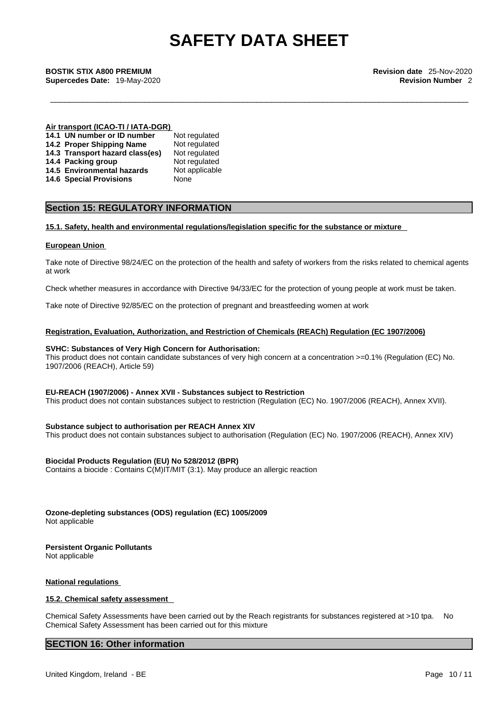\_\_\_\_\_\_\_\_\_\_\_\_\_\_\_\_\_\_\_\_\_\_\_\_\_\_\_\_\_\_\_\_\_\_\_\_\_\_\_\_\_\_\_\_\_\_\_\_\_\_\_\_\_\_\_\_\_\_\_\_\_\_\_\_\_\_\_\_\_\_\_\_\_\_\_\_\_\_\_\_\_\_\_\_\_\_\_\_\_ **BOSTIK STIX A800 PREMIUM Revision date** 25-Nov-2020 **Supercedes Date:** 19-May-2020 **Revision Number** 2

#### **Air transport (ICAO-TI / IATA-DGR)**

| 14.1 UN number or ID number     | Not regulated  |
|---------------------------------|----------------|
| 14.2 Proper Shipping Name       | Not regulated  |
| 14.3 Transport hazard class(es) | Not regulated  |
| 14.4 Packing group              | Not regulated  |
| 14.5 Environmental hazards      | Not applicable |
| <b>14.6 Special Provisions</b>  | None           |

### **Section 15: REGULATORY INFORMATION**

#### **15.1. Safety, health and environmental regulations/legislation specific for the substance or mixture**

#### **European Union**

Take note of Directive 98/24/EC on the protection of the health and safety of workers from the risks related to chemical agents at work

Check whether measures in accordance with Directive 94/33/EC for the protection of young people at work must be taken.

Take note of Directive 92/85/EC on the protection of pregnant and breastfeeding women at work

#### **Registration, Evaluation, Authorization, and Restriction of Chemicals (REACh) Regulation (EC 1907/2006)**

#### **SVHC: Substances of Very High Concern for Authorisation:**

This product does not contain candidate substances of very high concern at a concentration >=0.1% (Regulation (EC) No. 1907/2006 (REACH), Article 59)

#### **EU-REACH (1907/2006) - Annex XVII - Substances subject to Restriction**

This product does not contain substances subject to restriction (Regulation (EC) No. 1907/2006 (REACH), Annex XVII).

#### **Substance subject to authorisation per REACH Annex XIV**

This product does not contain substances subject to authorisation (Regulation (EC) No. 1907/2006 (REACH), Annex XIV)

#### **Biocidal Products Regulation (EU) No 528/2012 (BPR)**

Contains a biocide : Contains C(M)IT/MIT (3:1). May produce an allergic reaction

**Ozone-depleting substances (ODS) regulation (EC) 1005/2009**

Not applicable

## **Persistent Organic Pollutants**

Not applicable

#### **National regulations**

#### **15.2. Chemical safety assessment**

Chemical Safety Assessments have been carried out by the Reach registrants for substances registered at >10 tpa. No Chemical Safety Assessment has been carried out for this mixture

#### **SECTION 16: Other information**